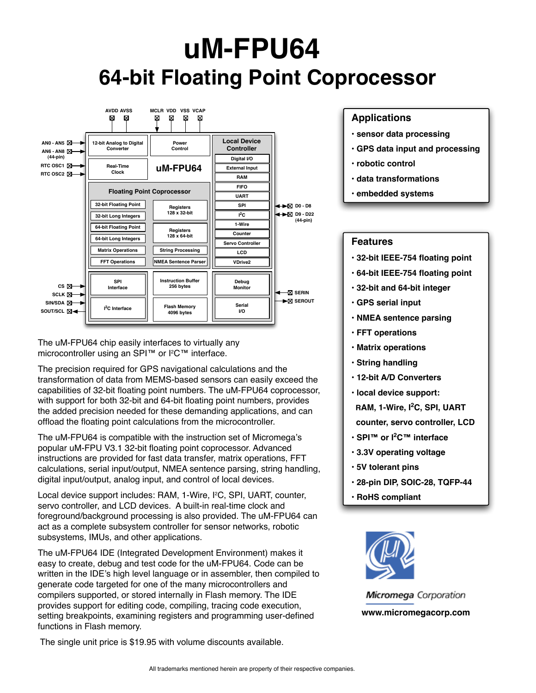# **uM-FPU64 64-bit Floating Point Coprocessor**



The uM-FPU64 chip easily interfaces to virtually any microcontroller using an SPI™ or l<sup>2</sup>C™ interface.

The precision required for GPS navigational calculations and the transformation of data from MEMS-based sensors can easily exceed the capabilities of 32-bit floating point numbers. The uM-FPU64 coprocessor, with support for both 32-bit and 64-bit floating point numbers, provides the added precision needed for these demanding applications, and can offload the floating point calculations from the microcontroller.

The uM-FPU64 is compatible with the instruction set of Micromega's popular uM-FPU V3.1 32-bit floating point coprocessor. Advanced instructions are provided for fast data transfer, matrix operations, FFT calculations, serial input/output, NMEA sentence parsing, string handling, digital input/output, analog input, and control of local devices.

Local device support includes: RAM, 1-Wire, I<sup>2</sup>C, SPI, UART, counter, servo controller, and LCD devices. A built-in real-time clock and foreground/background processing is also provided. The uM-FPU64 can act as a complete subsystem controller for sensor networks, robotic subsystems, IMUs, and other applications.

The uM-FPU64 IDE (Integrated Development Environment) makes it easy to create, debug and test code for the uM-FPU64. Code can be written in the IDE's high level language or in assembler, then compiled to generate code targeted for one of the many microcontrollers and compilers supported, or stored internally in Flash memory. The IDE provides support for editing code, compiling, tracing code execution, setting breakpoints, examining registers and programming user-defined functions in Flash memory.

The single unit price is \$19.95 with volume discounts available.

#### **Applications**

- **sensor data processing**
- **GPS data input and processing**
- **robotic control**
- **data transformations**
- **embedded systems**

#### **Features**

- **32-bit IEEE-754 floating point**
- **64-bit IEEE-754 floating point**
- **32-bit and 64-bit integer**
- **GPS serial input**
- **NMEA sentence parsing**
- **FFT operations**
- **Matrix operations**
- **String handling**
- **12-bit A/D Converters**
- **local device support: RAM, 1-Wire, I<sup>2</sup> C, SPI, UART**
- **counter, servo controller, LCD**
- **SPI™ or I2 C™ interface**
- **3.3V operating voltage**
- **5V tolerant pins**
- **28-pin DIP, SOIC-28, TQFP-44**
- **RoHS compliant**



**Micromega** Corporation **www.micromegacorp.com**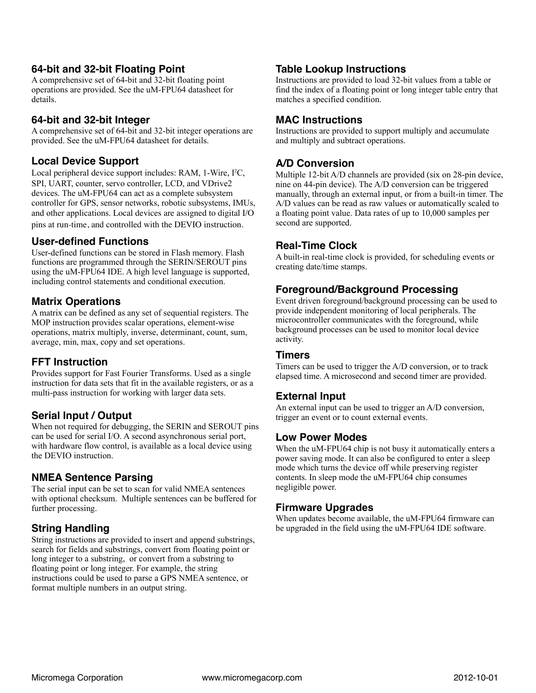#### **64-bit and 32-bit Floating Point**

A comprehensive set of 64-bit and 32-bit floating point operations are provided. See the uM-FPU64 datasheet for details.

## **64-bit and 32-bit Integer**

A comprehensive set of 64-bit and 32-bit integer operations are provided. See the uM-FPU64 datasheet for details.

# **Local Device Support**

Local peripheral device support includes: RAM, 1-Wire, I<sup>2</sup>C, SPI, UART, counter, servo controller, LCD, and VDrive2 devices. The uM-FPU64 can act as a complete subsystem controller for GPS, sensor networks, robotic subsystems, IMUs, and other applications. Local devices are assigned to digital I/O pins at run-time, and controlled with the DEVIO instruction.

## **User-defined Functions**

User-defined functions can be stored in Flash memory. Flash functions are programmed through the SERIN/SEROUT pins using the uM-FPU64 IDE. A high level language is supported, including control statements and conditional execution.

## **Matrix Operations**

A matrix can be defined as any set of sequential registers. The MOP instruction provides scalar operations, element-wise operations, matrix multiply, inverse, determinant, count, sum, average, min, max, copy and set operations.

#### **FFT Instruction**

Provides support for Fast Fourier Transforms. Used as a single instruction for data sets that fit in the available registers, or as a multi-pass instruction for working with larger data sets.

#### **Serial Input / Output**

When not required for debugging, the SERIN and SEROUT pins can be used for serial I/O. A second asynchronous serial port, with hardware flow control, is available as a local device using the DEVIO instruction.

## **NMEA Sentence Parsing**

The serial input can be set to scan for valid NMEA sentences with optional checksum. Multiple sentences can be buffered for further processing.

# **String Handling**

String instructions are provided to insert and append substrings, search for fields and substrings, convert from floating point or long integer to a substring, or convert from a substring to floating point or long integer. For example, the string instructions could be used to parse a GPS NMEA sentence, or format multiple numbers in an output string.

## **Table Lookup Instructions**

Instructions are provided to load 32-bit values from a table or find the index of a floating point or long integer table entry that matches a specified condition.

# **MAC Instructions**

Instructions are provided to support multiply and accumulate and multiply and subtract operations.

# **A/D Conversion**

Multiple 12-bit A/D channels are provided (six on 28-pin device, nine on 44-pin device). The A/D conversion can be triggered manually, through an external input, or from a built-in timer. The A/D values can be read as raw values or automatically scaled to a floating point value. Data rates of up to 10,000 samples per second are supported.

#### **Real-Time Clock**

A built-in real-time clock is provided, for scheduling events or creating date/time stamps.

#### **Foreground/Background Processing**

Event driven foreground/background processing can be used to provide independent monitoring of local peripherals. The microcontroller communicates with the foreground, while background processes can be used to monitor local device activity.

#### **Timers**

Timers can be used to trigger the A/D conversion, or to track elapsed time. A microsecond and second timer are provided.

#### **External Input**

An external input can be used to trigger an A/D conversion, trigger an event or to count external events.

#### **Low Power Modes**

When the uM-FPU64 chip is not busy it automatically enters a power saving mode. It can also be configured to enter a sleep mode which turns the device off while preserving register contents. In sleep mode the uM-FPU64 chip consumes negligible power.

#### **Firmware Upgrades**

When updates become available, the uM-FPU64 firmware can be upgraded in the field using the uM-FPU64 IDE software.